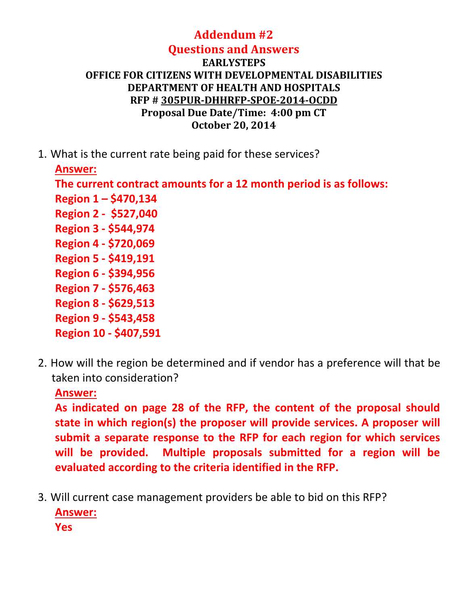#### **Addendum #2 Questions and Answers**

#### **EARLYSTEPS OFFICE FOR CITIZENS WITH DEVELOPMENTAL DISABILITIES DEPARTMENT OF HEALTH AND HOSPITALS RFP # 305PUR-DHHRFP-SPOE-2014-OCDD Proposal Due Date/Time: 4:00 pm CT October 20, 2014**

1. What is the current rate being paid for these services?

**Answer:**

**The current contract amounts for a 12 month period is as follows: Region 1 – \$470,134 Region 2 - \$527,040 Region 3 - \$544,974 Region 4 - \$720,069 Region 5 - \$419,191 Region 6 - \$394,956 Region 7 - \$576,463 Region 8 - \$629,513 Region 9 - \$543,458 Region 10 - \$407,591** 

2. How will the region be determined and if vendor has a preference will that be taken into consideration?

**Answer:**

**As indicated on page 28 of the RFP, the content of the proposal should state in which region(s) the proposer will provide services. A proposer will submit a separate response to the RFP for each region for which services will be provided. Multiple proposals submitted for a region will be evaluated according to the criteria identified in the RFP.**

3. Will current case management providers be able to bid on this RFP? **Answer: Yes**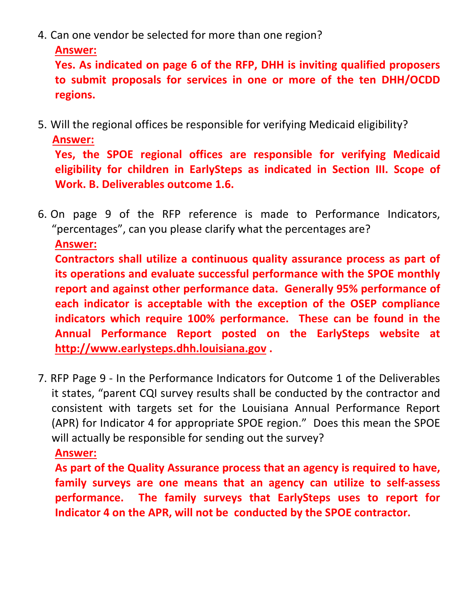4. Can one vendor be selected for more than one region?

```
Answer:
```
**Yes. As indicated on page 6 of the RFP, DHH is inviting qualified proposers to submit proposals for services in one or more of the ten DHH/OCDD regions.** 

5. Will the regional offices be responsible for verifying Medicaid eligibility? **Answer:**

**Yes, the SPOE regional offices are responsible for verifying Medicaid eligibility for children in EarlySteps as indicated in Section III. Scope of Work. B. Deliverables outcome 1.6.**

6. On page 9 of the RFP reference is made to Performance Indicators, "percentages", can you please clarify what the percentages are? **Answer: Contractors shall utilize a continuous quality assurance process as part of its operations and evaluate successful performance with the SPOE monthly report and against other performance data. Generally 95% performance of each indicator is acceptable with the exception of the OSEP compliance indicators which require 100% performance. These can be found in the Annual Performance Report posted on the EarlySteps website at [http://www.earlysteps.dhh.louisiana.gov](http://www.earlysteps.dhh.louisiana.gov/) .**

7. RFP Page 9 - In the Performance Indicators for Outcome 1 of the Deliverables it states, "parent CQI survey results shall be conducted by the contractor and consistent with targets set for the Louisiana Annual Performance Report (APR) for Indicator 4 for appropriate SPOE region." Does this mean the SPOE will actually be responsible for sending out the survey?

## **Answer:**

**As part of the Quality Assurance process that an agency is required to have, family surveys are one means that an agency can utilize to self-assess performance. The family surveys that EarlySteps uses to report for Indicator 4 on the APR, will not be conducted by the SPOE contractor.**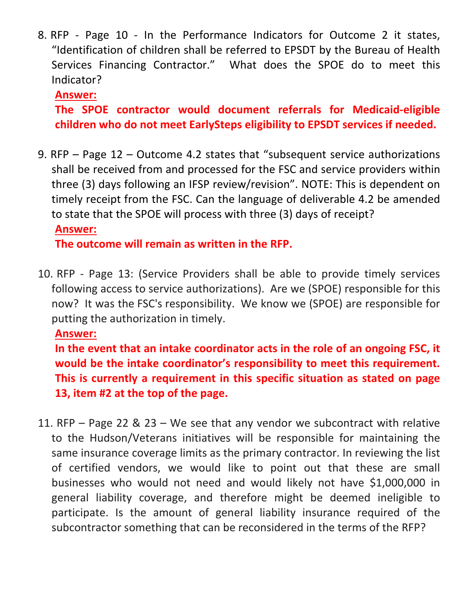8. RFP - Page 10 - In the Performance Indicators for Outcome 2 it states, "Identification of children shall be referred to EPSDT by the Bureau of Health Services Financing Contractor." What does the SPOE do to meet this Indicator?

**Answer:**

**The SPOE contractor would document referrals for Medicaid-eligible children who do not meet EarlySteps eligibility to EPSDT services if needed.**

9. RFP – Page 12 – Outcome 4.2 states that "subsequent service authorizations shall be received from and processed for the FSC and service providers within three (3) days following an IFSP review/revision". NOTE: This is dependent on timely receipt from the FSC. Can the language of deliverable 4.2 be amended to state that the SPOE will process with three (3) days of receipt? **Answer:**

**The outcome will remain as written in the RFP.**

10. RFP - Page 13: (Service Providers shall be able to provide timely services following access to service authorizations). Are we (SPOE) responsible for this now? It was the FSC's responsibility. We know we (SPOE) are responsible for putting the authorization in timely.

**Answer:**

**In the event that an intake coordinator acts in the role of an ongoing FSC, it would be the intake coordinator's responsibility to meet this requirement. This is currently a requirement in this specific situation as stated on page 13, item #2 at the top of the page.**

11. RFP – Page 22 & 23 – We see that any vendor we subcontract with relative to the Hudson/Veterans initiatives will be responsible for maintaining the same insurance coverage limits as the primary contractor. In reviewing the list of certified vendors, we would like to point out that these are small businesses who would not need and would likely not have \$1,000,000 in general liability coverage, and therefore might be deemed ineligible to participate. Is the amount of general liability insurance required of the subcontractor something that can be reconsidered in the terms of the RFP?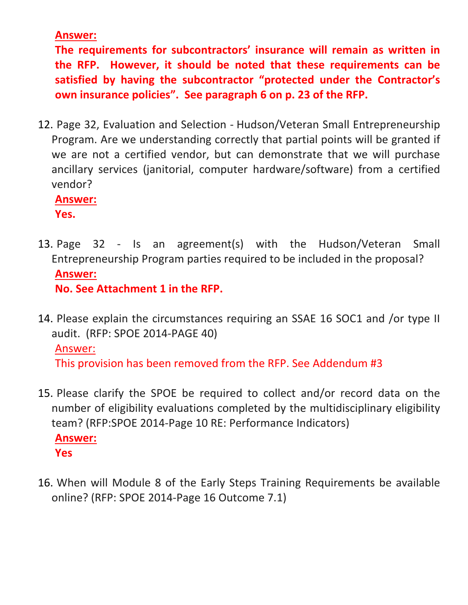**Answer:**

**The requirements for subcontractors' insurance will remain as written in the RFP. However, it should be noted that these requirements can be satisfied by having the subcontractor "protected under the Contractor's own insurance policies". See paragraph 6 on p. 23 of the RFP.**

12. Page 32, Evaluation and Selection - Hudson/Veteran Small Entrepreneurship Program. Are we understanding correctly that partial points will be granted if we are not a certified vendor, but can demonstrate that we will purchase ancillary services (janitorial, computer hardware/software) from a certified vendor?

**Answer:**

**Yes.**

- 13. Page 32 Is an agreement(s) with the Hudson/Veteran Small Entrepreneurship Program parties required to be included in the proposal? **Answer: No. See Attachment 1 in the RFP.**
- 14. Please explain the circumstances requiring an SSAE 16 SOC1 and /or type II audit. (RFP: SPOE 2014-PAGE 40)

## Answer:

This provision has been removed from the RFP. See Addendum #3

- 15. Please clarify the SPOE be required to collect and/or record data on the number of eligibility evaluations completed by the multidisciplinary eligibility team? (RFP:SPOE 2014-Page 10 RE: Performance Indicators) **Answer: Yes**
- 16. When will Module 8 of the Early Steps Training Requirements be available online? (RFP: SPOE 2014-Page 16 Outcome 7.1)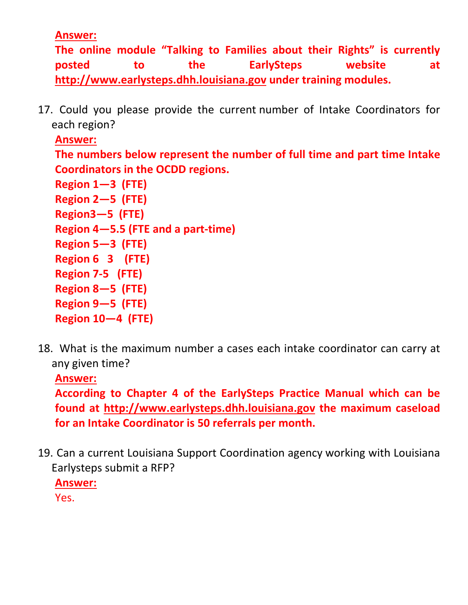**Answer:**

**The online module "Talking to Families about their Rights" is currently posted to the EarlySteps website at [http://www.earlysteps.dhh.louisiana.gov](http://www.earlysteps.dhh.louisiana.gov/) under training modules.** 

17. Could you please provide the current number of Intake Coordinators for each region?

```
Answer:
The numbers below represent the number of full time and part time Intake 
Coordinators in the OCDD regions.
Region 1—3 (FTE)
Region 2—5 (FTE)
Region3—5 (FTE)
Region 4—5.5 (FTE and a part-time)
Region 5—3 (FTE)
Region 6 3 (FTE)
Region 7-5 (FTE)
Region 8—5 (FTE)
Region 9—5 (FTE)
```
- **Region 10—4 (FTE)** 18. What is the maximum number a cases each intake coordinator can carry at
	- any given time?

**Answer:**

**According to Chapter 4 of the EarlySteps Practice Manual which can be found at [http://www.earlysteps.dhh.louisiana.gov](http://www.earlysteps.dhh.louisiana.gov/) the maximum caseload for an Intake Coordinator is 50 referrals per month.** 

19. Can a current Louisiana Support Coordination agency working with Louisiana Earlysteps submit a RFP? **Answer:** Yes.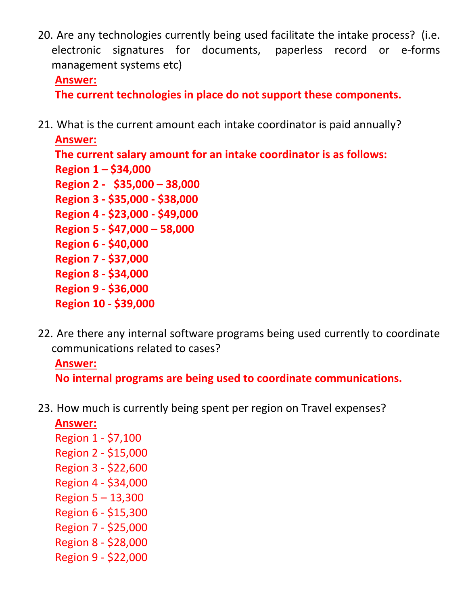20. Are any technologies currently being used facilitate the intake process? (i.e. electronic signatures for documents, paperless record or e-forms management systems etc)

#### **Answer:**

**The current technologies in place do not support these components.**

21. What is the current amount each intake coordinator is paid annually?

**Answer: The current salary amount for an intake coordinator is as follows: Region 1 – \$34,000 Region 2 - \$35,000 – 38,000 Region 3 - \$35,000 - \$38,000 Region 4 - \$23,000 - \$49,000 Region 5 - \$47,000 – 58,000 Region 6 - \$40,000 Region 7 - \$37,000 Region 8 - \$34,000 Region 9 - \$36,000 Region 10 - \$39,000**

22. Are there any internal software programs being used currently to coordinate communications related to cases?

## **Answer:**

**No internal programs are being used to coordinate communications.**

23. How much is currently being spent per region on Travel expenses?

# **Answer:** Region 1 - \$7,100 Region 2 - \$15,000 Region 3 - \$22,600 Region 4 - \$34,000 Region 5 – 13,300 Region 6 - \$15,300 Region 7 - \$25,000 Region 8 - \$28,000 Region 9 - \$22,000